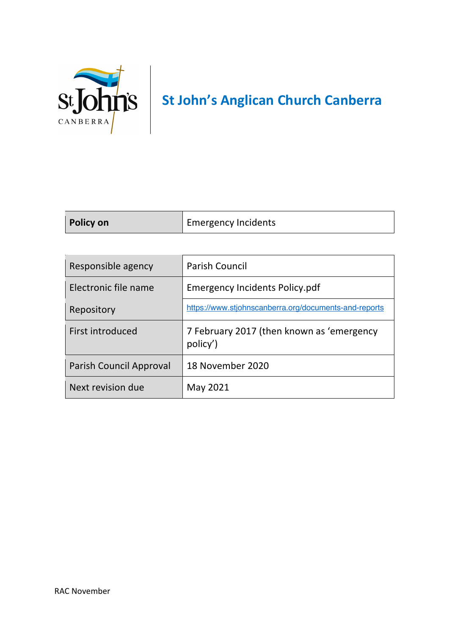

| Policy on | <b>Emergency Incidents</b> |
|-----------|----------------------------|
|           |                            |

| Responsible agency      | <b>Parish Council</b>                                 |
|-------------------------|-------------------------------------------------------|
| Electronic file name    | <b>Emergency Incidents Policy.pdf</b>                 |
| Repository              | https://www.stjohnscanberra.org/documents-and-reports |
| First introduced        | 7 February 2017 (then known as 'emergency<br>policy') |
| Parish Council Approval | 18 November 2020                                      |
| Next revision due       | May 2021                                              |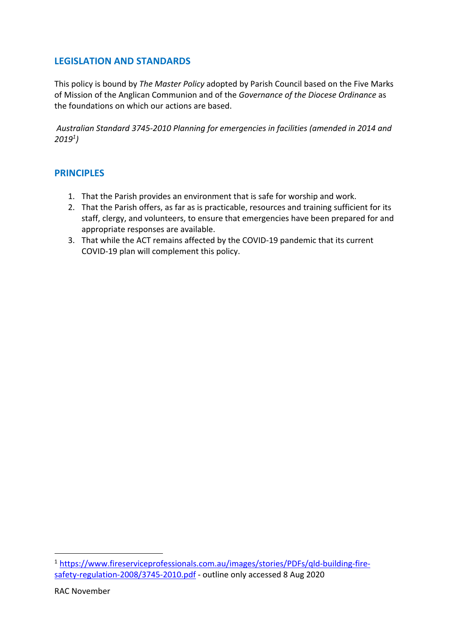## **LEGISLATION AND STANDARDS**

This policy is bound by *The Master Policy* adopted by Parish Council based on the Five Marks of Mission of the Anglican Communion and of the *Governance of the Diocese Ordinance* as the foundations on which our actions are based.

*Australian Standard 3745-2010 Planning for emergencies in facilities (amended in 2014 and 20191)*

## **PRINCIPLES**

- 1. That the Parish provides an environment that is safe for worship and work.
- 2. That the Parish offers, as far as is practicable, resources and training sufficient for its staff, clergy, and volunteers, to ensure that emergencies have been prepared for and appropriate responses are available.
- 3. That while the ACT remains affected by the COVID-19 pandemic that its current COVID-19 plan will complement this policy.

<sup>1</sup> https://www.fireserviceprofessionals.com.au/images/stories/PDFs/qld-building-firesafety-regulation-2008/3745-2010.pdf - outline only accessed 8 Aug 2020